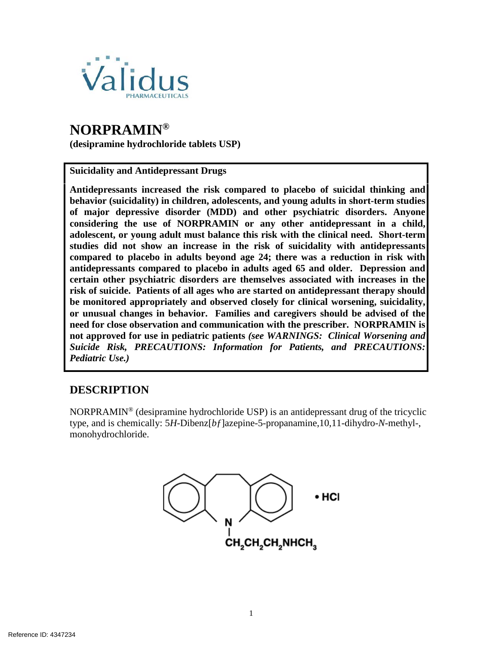

## **NORPRAMIN® (desipramine hydrochloride tablets USP)**

**Suicidality and Antidepressant Drugs** 

 **studies did not show an increase in the risk of suicidality with antidepressants Antidepressants increased the risk compared to placebo of suicidal thinking and behavior (suicidality) in children, adolescents, and young adults in short-term studies of major depressive disorder (MDD) and other psychiatric disorders. Anyone considering the use of NORPRAMIN or any other antidepressant in a child, adolescent, or young adult must balance this risk with the clinical need. Short-term compared to placebo in adults beyond age 24; there was a reduction in risk with antidepressants compared to placebo in adults aged 65 and older. Depression and certain other psychiatric disorders are themselves associated with increases in the risk of suicide. Patients of all ages who are started on antidepressant therapy should be monitored appropriately and observed closely for clinical worsening, suicidality, or unusual changes in behavior. Families and caregivers should be advised of the need for close observation and communication with the prescriber. NORPRAMIN is not approved for use in pediatric patients** *(see WARNINGS: Clinical Worsening and Suicide Risk, PRECAUTIONS: Information for Patients, and PRECAUTIONS: Pediatric Use.)* 

## **DESCRIPTION**

NORPRAMIN® (desipramine hydrochloride USP) is an antidepressant drug of the tricyclic type, and is chemically: 5*H*-Dibenz[*bƒ*]azepine-5-propanamine,10,11-dihydro-*N*-methyl-, monohydrochloride.

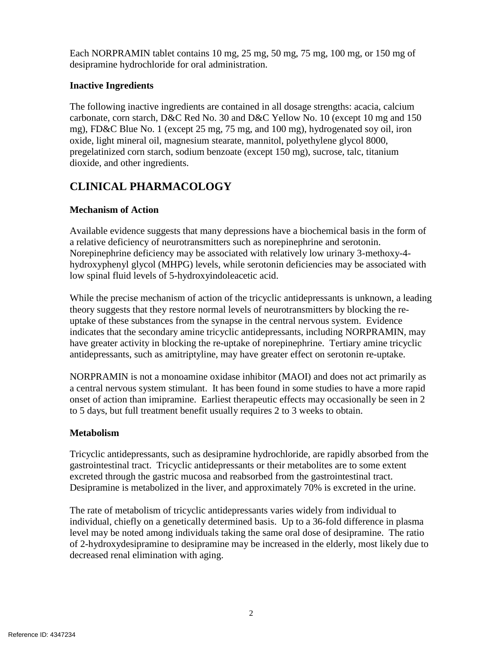Each NORPRAMIN tablet contains 10 mg, 25 mg, 50 mg, 75 mg, 100 mg, or 150 mg of desipramine hydrochloride for oral administration.

#### **Inactive Ingredients**

 mg), FD&C Blue No. 1 (except 25 mg, 75 mg, and 100 mg), hydrogenated soy oil, iron The following inactive ingredients are contained in all dosage strengths: acacia, calcium carbonate, corn starch, D&C Red No. 30 and D&C Yellow No. 10 (except 10 mg and 150 oxide, light mineral oil, magnesium stearate, mannitol, polyethylene glycol 8000, pregelatinized corn starch, sodium benzoate (except 150 mg), sucrose, talc, titanium dioxide, and other ingredients.

## **CLINICAL PHARMACOLOGY**

### **Mechanism of Action**

 hydroxyphenyl glycol (MHPG) levels, while serotonin deficiencies may be associated with Available evidence suggests that many depressions have a biochemical basis in the form of a relative deficiency of neurotransmitters such as norepinephrine and serotonin. Norepinephrine deficiency may be associated with relatively low urinary 3-methoxy-4 low spinal fluid levels of 5-hydroxyindoleacetic acid.

 theory suggests that they restore normal levels of neurotransmitters by blocking the re- antidepressants, such as amitriptyline, may have greater effect on serotonin re-uptake. While the precise mechanism of action of the tricyclic antidepressants is unknown, a leading uptake of these substances from the synapse in the central nervous system. Evidence indicates that the secondary amine tricyclic antidepressants, including NORPRAMIN, may have greater activity in blocking the re-uptake of norepinephrine. Tertiary amine tricyclic

 NORPRAMIN is not a monoamine oxidase inhibitor (MAOI) and does not act primarily as a central nervous system stimulant. It has been found in some studies to have a more rapid onset of action than imipramine. Earliest therapeutic effects may occasionally be seen in 2 to 5 days, but full treatment benefit usually requires 2 to 3 weeks to obtain.

### **Metabolism**

Tricyclic antidepressants, such as desipramine hydrochloride, are rapidly absorbed from the gastrointestinal tract. Tricyclic antidepressants or their metabolites are to some extent excreted through the gastric mucosa and reabsorbed from the gastrointestinal tract. Desipramine is metabolized in the liver, and approximately 70% is excreted in the urine.

The rate of metabolism of tricyclic antidepressants varies widely from individual to individual, chiefly on a genetically determined basis. Up to a 36-fold difference in plasma level may be noted among individuals taking the same oral dose of desipramine. The ratio of 2-hydroxydesipramine to desipramine may be increased in the elderly, most likely due to decreased renal elimination with aging.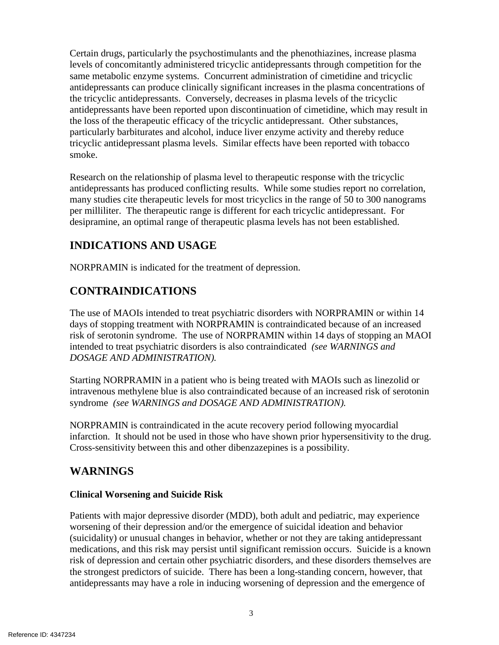same metabolic enzyme systems. Concurrent administration of cimetidine and tricyclic the tricyclic antidepressants. Conversely, decreases in plasma levels of the tricyclic antidepressants have been reported upon discontinuation of cimetidine, which may result in particularly barbiturates and alcohol, induce liver enzyme activity and thereby reduce Certain drugs, particularly the psychostimulants and the phenothiazines, increase plasma levels of concomitantly administered tricyclic antidepressants through competition for the antidepressants can produce clinically significant increases in the plasma concentrations of the loss of the therapeutic efficacy of the tricyclic antidepressant. Other substances, tricyclic antidepressant plasma levels. Similar effects have been reported with tobacco smoke.

Research on the relationship of plasma level to therapeutic response with the tricyclic antidepressants has produced conflicting results. While some studies report no correlation, many studies cite therapeutic levels for most tricyclics in the range of 50 to 300 nanograms per milliliter. The therapeutic range is different for each tricyclic antidepressant. For desipramine, an optimal range of therapeutic plasma levels has not been established.

## **INDICATIONS AND USAGE**

NORPRAMIN is indicated for the treatment of depression.

## **CONTRAINDICATIONS**

The use of MAOIs intended to treat psychiatric disorders with NORPRAMIN or within 14 days of stopping treatment with NORPRAMIN is contraindicated because of an increased risk of serotonin syndrome. The use of NORPRAMIN within 14 days of stopping an MAOI intended to treat psychiatric disorders is also contraindicated *(see WARNINGS and DOSAGE AND ADMINISTRATION).* 

 syndrome *(see WARNINGS and DOSAGE AND ADMINISTRATION).*  Starting NORPRAMIN in a patient who is being treated with MAOIs such as linezolid or intravenous methylene blue is also contraindicated because of an increased risk of serotonin

NORPRAMIN is contraindicated in the acute recovery period following myocardial infarction. It should not be used in those who have shown prior hypersensitivity to the drug. Cross-sensitivity between this and other dibenzazepines is a possibility.

## **WARNINGS**

### **Clinical Worsening and Suicide Risk**

 Patients with major depressive disorder (MDD), both adult and pediatric, may experience the strongest predictors of suicide. There has been a long-standing concern, however, that worsening of their depression and/or the emergence of suicidal ideation and behavior (suicidality) or unusual changes in behavior, whether or not they are taking antidepressant medications, and this risk may persist until significant remission occurs. Suicide is a known risk of depression and certain other psychiatric disorders, and these disorders themselves are antidepressants may have a role in inducing worsening of depression and the emergence of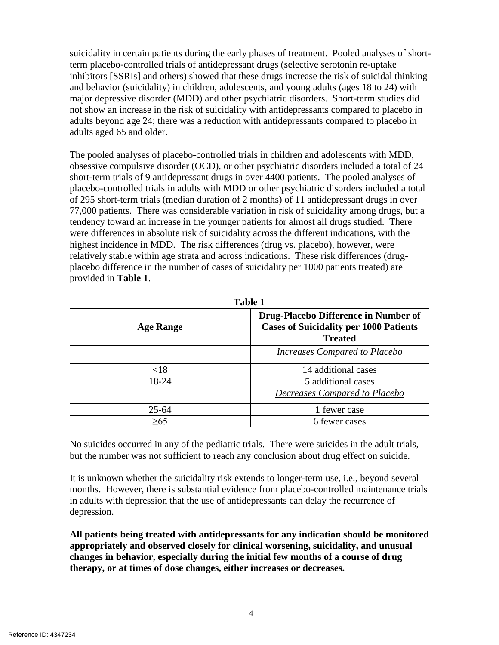inhibitors [SSRIs] and others) showed that these drugs increase the risk of suicidal thinking and behavior (suicidality) in children, adolescents, and young adults (ages 18 to 24) with suicidality in certain patients during the early phases of treatment. Pooled analyses of shortterm placebo-controlled trials of antidepressant drugs (selective serotonin re-uptake major depressive disorder (MDD) and other psychiatric disorders. Short-term studies did not show an increase in the risk of suicidality with antidepressants compared to placebo in adults beyond age 24; there was a reduction with antidepressants compared to placebo in adults aged 65 and older.

 short-term trials of 9 antidepressant drugs in over 4400 patients. The pooled analyses of tendency toward an increase in the younger patients for almost all drugs studied. There highest incidence in MDD. The risk differences (drug vs. placebo), however, were The pooled analyses of placebo-controlled trials in children and adolescents with MDD, obsessive compulsive disorder (OCD), or other psychiatric disorders included a total of 24 placebo-controlled trials in adults with MDD or other psychiatric disorders included a total of 295 short-term trials (median duration of 2 months) of 11 antidepressant drugs in over 77,000 patients. There was considerable variation in risk of suicidality among drugs, but a were differences in absolute risk of suicidality across the different indications, with the relatively stable within age strata and across indications. These risk differences (drugplacebo difference in the number of cases of suicidality per 1000 patients treated) are provided in **Table 1**.

| <b>Table 1</b>   |                                                                                                         |
|------------------|---------------------------------------------------------------------------------------------------------|
| <b>Age Range</b> | Drug-Placebo Difference in Number of<br><b>Cases of Suicidality per 1000 Patients</b><br><b>Treated</b> |
|                  | <b>Increases Compared to Placebo</b>                                                                    |
| < 18             | 14 additional cases                                                                                     |
| 18-24            | 5 additional cases                                                                                      |
|                  | Decreases Compared to Placebo                                                                           |
| $25 - 64$        | 1 fewer case                                                                                            |
| >65              | 6 fewer cases                                                                                           |

 No suicides occurred in any of the pediatric trials. There were suicides in the adult trials, but the number was not sufficient to reach any conclusion about drug effect on suicide.

It is unknown whether the suicidality risk extends to longer-term use, i.e., beyond several months. However, there is substantial evidence from placebo-controlled maintenance trials in adults with depression that the use of antidepressants can delay the recurrence of depression.

**All patients being treated with antidepressants for any indication should be monitored appropriately and observed closely for clinical worsening, suicidality, and unusual changes in behavior, especially during the initial few months of a course of drug therapy, or at times of dose changes, either increases or decreases.**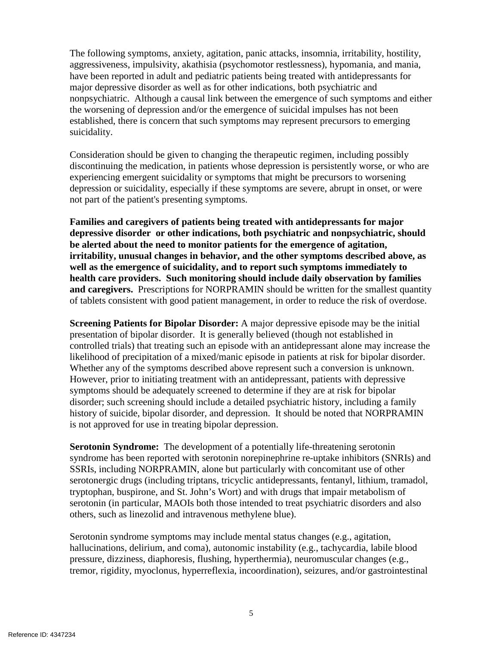The following symptoms, anxiety, agitation, panic attacks, insomnia, irritability, hostility, aggressiveness, impulsivity, akathisia (psychomotor restlessness), hypomania, and mania, have been reported in adult and pediatric patients being treated with antidepressants for major depressive disorder as well as for other indications, both psychiatric and nonpsychiatric. Although a causal link between the emergence of such symptoms and either the worsening of depression and/or the emergence of suicidal impulses has not been established, there is concern that such symptoms may represent precursors to emerging suicidality.

Consideration should be given to changing the therapeutic regimen, including possibly discontinuing the medication, in patients whose depression is persistently worse, or who are experiencing emergent suicidality or symptoms that might be precursors to worsening depression or suicidality, especially if these symptoms are severe, abrupt in onset, or were not part of the patient's presenting symptoms.

**Families and caregivers of patients being treated with antidepressants for major depressive disorder or other indications, both psychiatric and nonpsychiatric, should be alerted about the need to monitor patients for the emergence of agitation, irritability, unusual changes in behavior, and the other symptoms described above, as well as the emergence of suicidality, and to report such symptoms immediately to health care providers. Such monitoring should include daily observation by families and caregivers.** Prescriptions for NORPRAMIN should be written for the smallest quantity of tablets consistent with good patient management, in order to reduce the risk of overdose.

 presentation of bipolar disorder. It is generally believed (though not established in **Screening Patients for Bipolar Disorder:** A major depressive episode may be the initial controlled trials) that treating such an episode with an antidepressant alone may increase the likelihood of precipitation of a mixed/manic episode in patients at risk for bipolar disorder. Whether any of the symptoms described above represent such a conversion is unknown. However, prior to initiating treatment with an antidepressant, patients with depressive symptoms should be adequately screened to determine if they are at risk for bipolar disorder; such screening should include a detailed psychiatric history, including a family history of suicide, bipolar disorder, and depression. It should be noted that NORPRAMIN is not approved for use in treating bipolar depression.

 **Serotonin Syndrome:** The development of a potentially life-threatening serotonin tryptophan, buspirone, and St. John's Wort) and with drugs that impair metabolism of syndrome has been reported with serotonin norepinephrine re-uptake inhibitors (SNRIs) and SSRIs, including NORPRAMIN, alone but particularly with concomitant use of other serotonergic drugs (including triptans, tricyclic antidepressants, fentanyl, lithium, tramadol, serotonin (in particular, MAOIs both those intended to treat psychiatric disorders and also others, such as linezolid and intravenous methylene blue).

Serotonin syndrome symptoms may include mental status changes (e.g., agitation, hallucinations, delirium, and coma), autonomic instability (e.g., tachycardia, labile blood pressure, dizziness, diaphoresis, flushing, hyperthermia), neuromuscular changes (e.g., tremor, rigidity, myoclonus, hyperreflexia, incoordination), seizures, and/or gastrointestinal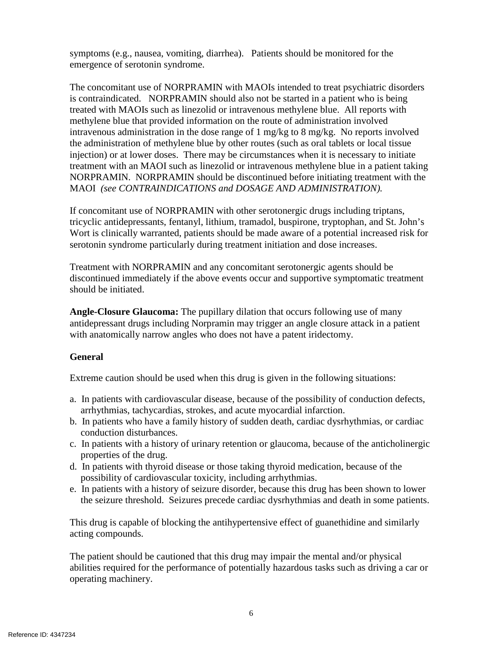symptoms (e.g., nausea, vomiting, diarrhea). Patients should be monitored for the emergence of serotonin syndrome.

 injection) or at lower doses. There may be circumstances when it is necessary to initiate treatment with an MAOI such as linezolid or intravenous methylene blue in a patient taking The concomitant use of NORPRAMIN with MAOIs intended to treat psychiatric disorders is contraindicated. NORPRAMIN should also not be started in a patient who is being treated with MAOIs such as linezolid or intravenous methylene blue. All reports with methylene blue that provided information on the route of administration involved intravenous administration in the dose range of 1 mg/kg to 8 mg/kg. No reports involved the administration of methylene blue by other routes (such as oral tablets or local tissue NORPRAMIN. NORPRAMIN should be discontinued before initiating treatment with the MAOI *(see CONTRAINDICATIONS and DOSAGE AND ADMINISTRATION).* 

 If concomitant use of NORPRAMIN with other serotonergic drugs including triptans, Wort is clinically warranted, patients should be made aware of a potential increased risk for tricyclic antidepressants, fentanyl, lithium, tramadol, buspirone, tryptophan, and St. John's serotonin syndrome particularly during treatment initiation and dose increases.

 discontinued immediately if the above events occur and supportive symptomatic treatment Treatment with NORPRAMIN and any concomitant serotonergic agents should be should be initiated.

**Angle-Closure Glaucoma:** The pupillary dilation that occurs following use of many antidepressant drugs including Norpramin may trigger an angle closure attack in a patient with anatomically narrow angles who does not have a patent iridectomy.

### **General**

Extreme caution should be used when this drug is given in the following situations:

- a. In patients with cardiovascular disease, because of the possibility of conduction defects, arrhythmias, tachycardias, strokes, and acute myocardial infarction.
- b. In patients who have a family history of sudden death, cardiac dysrhythmias, or cardiac conduction disturbances.
- c. In patients with a history of urinary retention or glaucoma, because of the anticholinergic properties of the drug.
- d. In patients with thyroid disease or those taking thyroid medication, because of the possibility of cardiovascular toxicity, including arrhythmias.
- the seizure threshold. Seizures precede cardiac dysrhythmias and death in some patients. e. In patients with a history of seizure disorder, because this drug has been shown to lower

This drug is capable of blocking the antihypertensive effect of guanethidine and similarly acting compounds.

 abilities required for the performance of potentially hazardous tasks such as driving a car or The patient should be cautioned that this drug may impair the mental and/or physical operating machinery.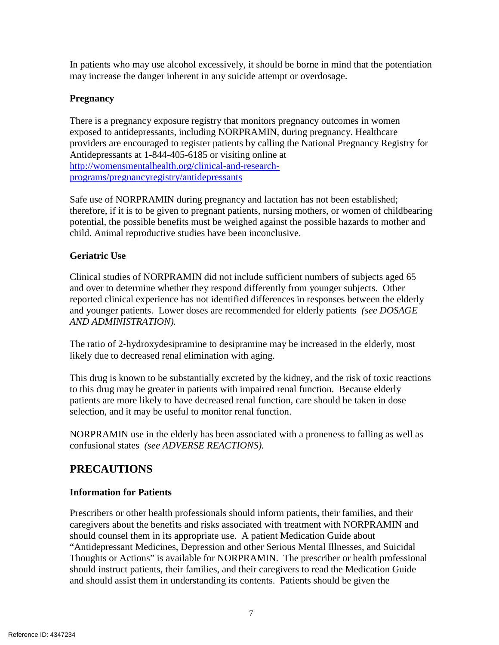In patients who may use alcohol excessively, it should be borne in mind that the potentiation may increase the danger inherent in any suicide attempt or overdosage.

### **Pregnancy**

 providers are encouraged to register patients by calling the National Pregnancy Registry for There is a pregnancy exposure registry that monitors pregnancy outcomes in women exposed to antidepressants, including NORPRAMIN, during pregnancy. Healthcare Antidepressants at 1-844-405-6185 or visiting online at [http://womensmentalhealth.org/clinical-and-research](http://womensmentalhealth.org/clinical-and-research-programs/pregnancyregistry/antidepressants)[programs/pregnancyregistry/antidepressants](http://womensmentalhealth.org/clinical-and-research-programs/pregnancyregistry/antidepressants) 

Safe use of NORPRAMIN during pregnancy and lactation has not been established; therefore, if it is to be given to pregnant patients, nursing mothers, or women of childbearing potential, the possible benefits must be weighed against the possible hazards to mother and child. Animal reproductive studies have been inconclusive.

### **Geriatric Use**

Clinical studies of NORPRAMIN did not include sufficient numbers of subjects aged 65 and over to determine whether they respond differently from younger subjects. Other reported clinical experience has not identified differences in responses between the elderly and younger patients. Lower doses are recommended for elderly patients *(see DOSAGE AND ADMINISTRATION).* 

The ratio of 2-hydroxydesipramine to desipramine may be increased in the elderly, most likely due to decreased renal elimination with aging.

 to this drug may be greater in patients with impaired renal function. Because elderly This drug is known to be substantially excreted by the kidney, and the risk of toxic reactions patients are more likely to have decreased renal function, care should be taken in dose selection, and it may be useful to monitor renal function.

 confusional states *(see ADVERSE REACTIONS).*  NORPRAMIN use in the elderly has been associated with a proneness to falling as well as

## **PRECAUTIONS**

### **Information for Patients**

 should counsel them in its appropriate use. A patient Medication Guide about and should assist them in understanding its contents. Patients should be given the Prescribers or other health professionals should inform patients, their families, and their caregivers about the benefits and risks associated with treatment with NORPRAMIN and "Antidepressant Medicines, Depression and other Serious Mental Illnesses, and Suicidal Thoughts or Actions" is available for NORPRAMIN. The prescriber or health professional should instruct patients, their families, and their caregivers to read the Medication Guide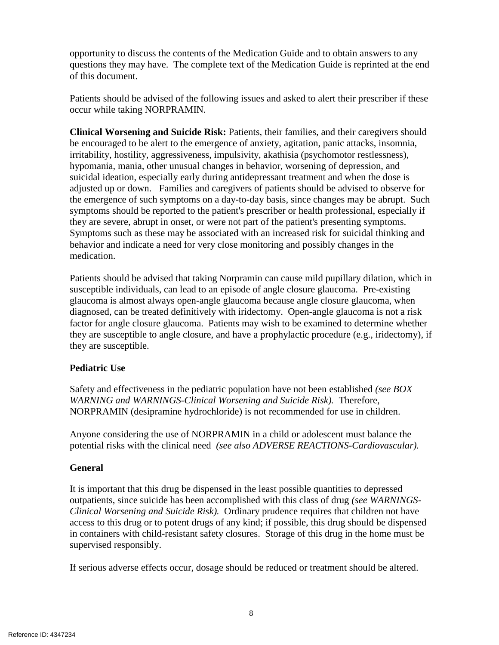opportunity to discuss the contents of the Medication Guide and to obtain answers to any questions they may have. The complete text of the Medication Guide is reprinted at the end of this document.

Patients should be advised of the following issues and asked to alert their prescriber if these occur while taking NORPRAMIN.

 adjusted up or down. Families and caregivers of patients should be advised to observe for **Clinical Worsening and Suicide Risk:** Patients, their families, and their caregivers should be encouraged to be alert to the emergence of anxiety, agitation, panic attacks, insomnia, irritability, hostility, aggressiveness, impulsivity, akathisia (psychomotor restlessness), hypomania, mania, other unusual changes in behavior, worsening of depression, and suicidal ideation, especially early during antidepressant treatment and when the dose is the emergence of such symptoms on a day-to-day basis, since changes may be abrupt. Such symptoms should be reported to the patient's prescriber or health professional, especially if they are severe, abrupt in onset, or were not part of the patient's presenting symptoms. Symptoms such as these may be associated with an increased risk for suicidal thinking and behavior and indicate a need for very close monitoring and possibly changes in the medication.

 susceptible individuals, can lead to an episode of angle closure glaucoma. Pre-existing glaucoma is almost always open-angle glaucoma because angle closure glaucoma, when Patients should be advised that taking Norpramin can cause mild pupillary dilation, which in diagnosed, can be treated definitively with iridectomy. Open-angle glaucoma is not a risk factor for angle closure glaucoma. Patients may wish to be examined to determine whether they are susceptible to angle closure, and have a prophylactic procedure (e.g., iridectomy), if they are susceptible.

### **Pediatric Use**

WARNING and WARNINGS-Clinical Worsening and Suicide Risk). Therefore, Safety and effectiveness in the pediatric population have not been established *(see BOX*  NORPRAMIN (desipramine hydrochloride) is not recommended for use in children.

Anyone considering the use of NORPRAMIN in a child or adolescent must balance the potential risks with the clinical need *(see also ADVERSE REACTIONS-Cardiovascular).* 

### **General**

 *Clinical Worsening and Suicide Risk).* Ordinary prudence requires that children not have It is important that this drug be dispensed in the least possible quantities to depressed outpatients, since suicide has been accomplished with this class of drug *(see WARNINGS*access to this drug or to potent drugs of any kind; if possible, this drug should be dispensed in containers with child-resistant safety closures. Storage of this drug in the home must be supervised responsibly.

If serious adverse effects occur, dosage should be reduced or treatment should be altered.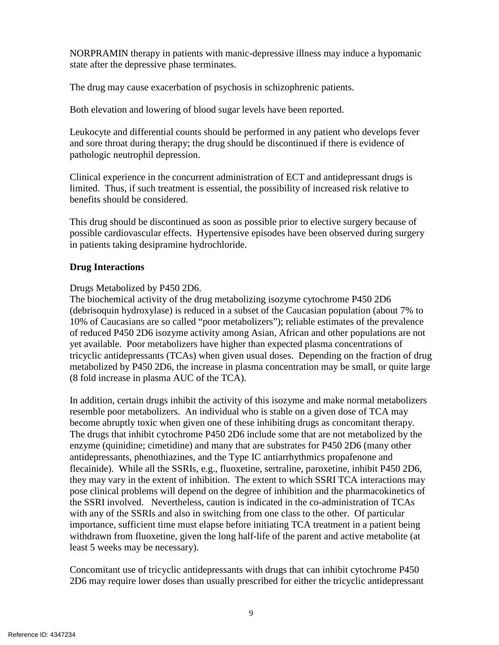NORPRAMIN therapy in patients with manic-depressive illness may induce a hypomanic state after the depressive phase terminates.

The drug may cause exacerbation of psychosis in schizophrenic patients.

Both elevation and lowering of blood sugar levels have been reported.

Leukocyte and differential counts should be performed in any patient who develops fever and sore throat during therapy; the drug should be discontinued if there is evidence of pathologic neutrophil depression.

Clinical experience in the concurrent administration of ECT and antidepressant drugs is limited. Thus, if such treatment is essential, the possibility of increased risk relative to benefits should be considered.

 possible cardiovascular effects. Hypertensive episodes have been observed during surgery This drug should be discontinued as soon as possible prior to elective surgery because of in patients taking desipramine hydrochloride.

#### **Drug Interactions**

#### Drugs Metabolized by P450 2D6.

 The biochemical activity of the drug metabolizing isozyme cytochrome P450 2D6 tricyclic antidepressants (TCAs) when given usual doses. Depending on the fraction of drug (debrisoquin hydroxylase) is reduced in a subset of the Caucasian population (about 7% to 10% of Caucasians are so called "poor metabolizers"); reliable estimates of the prevalence of reduced P450 2D6 isozyme activity among Asian, African and other populations are not yet available. Poor metabolizers have higher than expected plasma concentrations of metabolized by P450 2D6, the increase in plasma concentration may be small, or quite large (8 fold increase in plasma AUC of the TCA).

 the SSRI involved. Nevertheless, caution is indicated in the co-administration of TCAs In addition, certain drugs inhibit the activity of this isozyme and make normal metabolizers resemble poor metabolizers. An individual who is stable on a given dose of TCA may become abruptly toxic when given one of these inhibiting drugs as concomitant therapy. The drugs that inhibit cytochrome P450 2D6 include some that are not metabolized by the enzyme (quinidine; cimetidine) and many that are substrates for P450 2D6 (many other antidepressants, phenothiazines, and the Type ΙC antiarrhythmics propafenone and flecainide). While all the SSRIs, e.g., fluoxetine, sertraline, paroxetine, inhibit P450 2D6, they may vary in the extent of inhibition. The extent to which SSRI TCA interactions may pose clinical problems will depend on the degree of inhibition and the pharmacokinetics of with any of the SSRIs and also in switching from one class to the other. Of particular importance, sufficient time must elapse before initiating TCA treatment in a patient being withdrawn from fluoxetine, given the long half-life of the parent and active metabolite (at least 5 weeks may be necessary).

Concomitant use of tricyclic antidepressants with drugs that can inhibit cytochrome P450 2D6 may require lower doses than usually prescribed for either the tricyclic antidepressant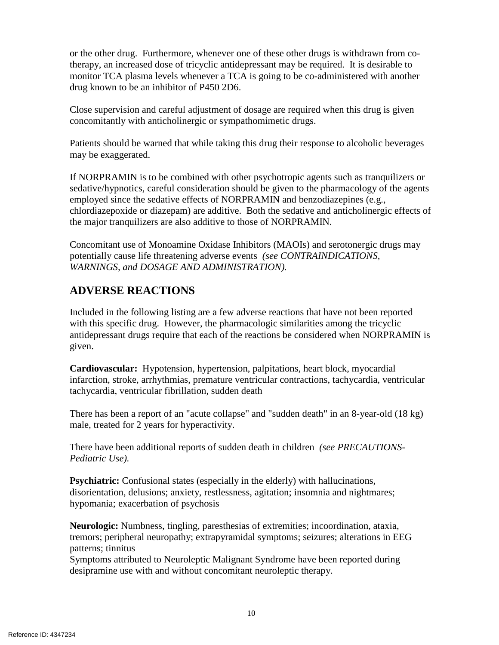or the other drug. Furthermore, whenever one of these other drugs is withdrawn from cotherapy, an increased dose of tricyclic antidepressant may be required. It is desirable to monitor TCA plasma levels whenever a TCA is going to be co-administered with another drug known to be an inhibitor of P450 2D6.

 Close supervision and careful adjustment of dosage are required when this drug is given concomitantly with anticholinergic or sympathomimetic drugs.

Patients should be warned that while taking this drug their response to alcoholic beverages may be exaggerated.

 chlordiazepoxide or diazepam) are additive. Both the sedative and anticholinergic effects of If NORPRAMIN is to be combined with other psychotropic agents such as tranquilizers or sedative/hypnotics, careful consideration should be given to the pharmacology of the agents employed since the sedative effects of NORPRAMIN and benzodiazepines (e.g., the major tranquilizers are also additive to those of NORPRAMIN.

Concomitant use of Monoamine Oxidase Inhibitors (MAOIs) and serotonergic drugs may potentially cause life threatening adverse events *(see CONTRAINDICATIONS, WARNINGS, and DOSAGE AND ADMINISTRATION).* 

## **ADVERSE REACTIONS**

 Included in the following listing are a few adverse reactions that have not been reported with this specific drug. However, the pharmacologic similarities among the tricyclic antidepressant drugs require that each of the reactions be considered when NORPRAMIN is given.

 **Cardiovascular:** Hypotension, hypertension, palpitations, heart block, myocardial infarction, stroke, arrhythmias, premature ventricular contractions, tachycardia, ventricular tachycardia, ventricular fibrillation, sudden death

 male, treated for 2 years for hyperactivity. There has been a report of an "acute collapse" and "sudden death" in an 8-year-old (18 kg)

 There have been additional reports of sudden death in children *(see PRECAUTIONS-Pediatric Use).* 

**Psychiatric:** Confusional states (especially in the elderly) with hallucinations, disorientation, delusions; anxiety, restlessness, agitation; insomnia and nightmares; hypomania; exacerbation of psychosis

**Neurologic:** Numbness, tingling, paresthesias of extremities; incoordination, ataxia, tremors; peripheral neuropathy; extrapyramidal symptoms; seizures; alterations in EEG patterns; tinnitus

Symptoms attributed to Neuroleptic Malignant Syndrome have been reported during desipramine use with and without concomitant neuroleptic therapy.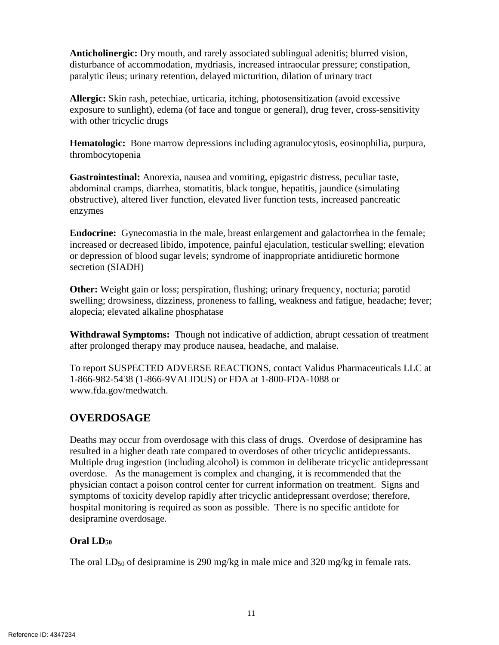**Anticholinergic:** Dry mouth, and rarely associated sublingual adenitis; blurred vision, disturbance of accommodation, mydriasis, increased intraocular pressure; constipation, paralytic ileus; urinary retention, delayed micturition, dilation of urinary tract

**Allergic:** Skin rash, petechiae, urticaria, itching, photosensitization (avoid excessive exposure to sunlight), edema (of face and tongue or general), drug fever, cross-sensitivity with other tricyclic drugs

 **Hematologic:** Bone marrow depressions including agranulocytosis, eosinophilia, purpura, thrombocytopenia

**Gastrointestinal:** Anorexia, nausea and vomiting, epigastric distress, peculiar taste, abdominal cramps, diarrhea, stomatitis, black tongue, hepatitis, jaundice (simulating obstructive), altered liver function, elevated liver function tests, increased pancreatic enzymes

 or depression of blood sugar levels; syndrome of inappropriate antidiuretic hormone **Endocrine:** Gynecomastia in the male, breast enlargement and galactorrhea in the female; increased or decreased libido, impotence, painful ejaculation, testicular swelling; elevation secretion (SIADH)

**Other:** Weight gain or loss; perspiration, flushing; urinary frequency, nocturia; parotid swelling; drowsiness, dizziness, proneness to falling, weakness and fatigue, headache; fever; alopecia; elevated alkaline phosphatase

**Withdrawal Symptoms:** Though not indicative of addiction, abrupt cessation of treatment after prolonged therapy may produce nausea, headache, and malaise.

To report SUSPECTED ADVERSE REACTIONS, contact Validus Pharmaceuticals LLC at 1-866-982-5438 (1-866-9VALIDUS) or FDA at 1-800-FDA-1088 or [www.fda.gov/medwatch.](http://www.fda.gov/medwatch)

## **OVERDOSAGE**

 overdose. As the management is complex and changing, it is recommended that the hospital monitoring is required as soon as possible. There is no specific antidote for Deaths may occur from overdosage with this class of drugs. Overdose of desipramine has resulted in a higher death rate compared to overdoses of other tricyclic antidepressants. Multiple drug ingestion (including alcohol) is common in deliberate tricyclic antidepressant physician contact a poison control center for current information on treatment. Signs and symptoms of toxicity develop rapidly after tricyclic antidepressant overdose; therefore, desipramine overdosage.

### **Oral LD50**

The oral  $LD_{50}$  of desipramine is 290 mg/kg in male mice and 320 mg/kg in female rats.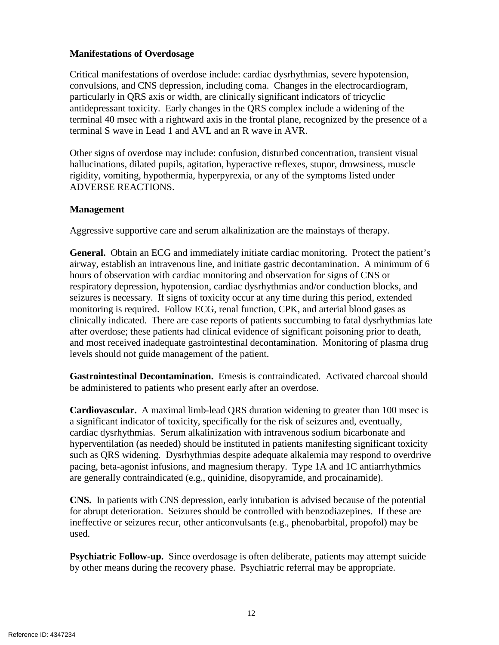#### **Manifestations of Overdosage**

 antidepressant toxicity. Early changes in the QRS complex include a widening of the Critical manifestations of overdose include: cardiac dysrhythmias, severe hypotension, convulsions, and CNS depression, including coma. Changes in the electrocardiogram, particularly in QRS axis or width, are clinically significant indicators of tricyclic terminal 40 msec with a rightward axis in the frontal plane, recognized by the presence of a terminal S wave in Lead 1 and AVL and an R wave in AVR.

Other signs of overdose may include: confusion, disturbed concentration, transient visual hallucinations, dilated pupils, agitation, hyperactive reflexes, stupor, drowsiness, muscle rigidity, vomiting, hypothermia, hyperpyrexia, or any of the symptoms listed under ADVERSE REACTIONS.

#### **Management**

Aggressive supportive care and serum alkalinization are the mainstays of therapy.

 **General.** Obtain an ECG and immediately initiate cardiac monitoring. Protect the patient's hours of observation with cardiac monitoring and observation for signs of CNS or seizures is necessary. If signs of toxicity occur at any time during this period, extended airway, establish an intravenous line, and initiate gastric decontamination. A minimum of 6 respiratory depression, hypotension, cardiac dysrhythmias and/or conduction blocks, and monitoring is required. Follow ECG, renal function, CPK, and arterial blood gases as clinically indicated. There are case reports of patients succumbing to fatal dysrhythmias late after overdose; these patients had clinical evidence of significant poisoning prior to death, and most received inadequate gastrointestinal decontamination. Monitoring of plasma drug levels should not guide management of the patient.

 **Gastrointestinal Decontamination.** Emesis is contraindicated. Activated charcoal should be administered to patients who present early after an overdose.

 **Cardiovascular.** A maximal limb-lead QRS duration widening to greater than 100 msec is a significant indicator of toxicity, specifically for the risk of seizures and, eventually, cardiac dysrhythmias. Serum alkalinization with intravenous sodium bicarbonate and hyperventilation (as needed) should be instituted in patients manifesting significant toxicity such as QRS widening. Dysrhythmias despite adequate alkalemia may respond to overdrive pacing, beta-agonist infusions, and magnesium therapy. Type 1A and 1C antiarrhythmics are generally contraindicated (e.g., quinidine, disopyramide, and procainamide).

**CNS.** In patients with CNS depression, early intubation is advised because of the potential for abrupt deterioration. Seizures should be controlled with benzodiazepines. If these are ineffective or seizures recur, other anticonvulsants (e.g., phenobarbital, propofol) may be used.

 **Psychiatric Follow-up.** Since overdosage is often deliberate, patients may attempt suicide by other means during the recovery phase. Psychiatric referral may be appropriate.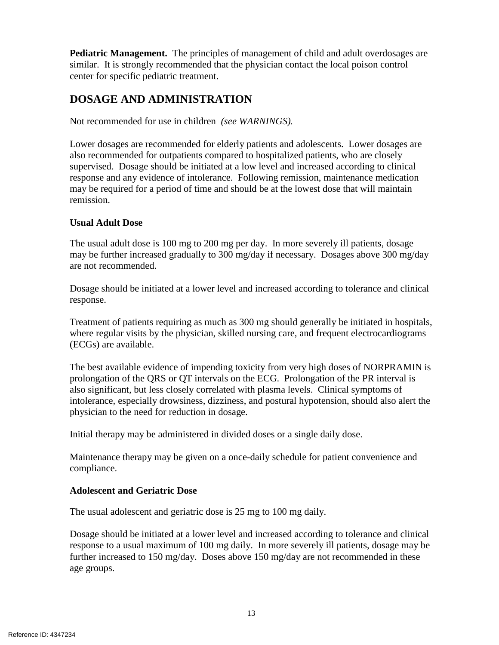**Pediatric Management.** The principles of management of child and adult overdosages are similar. It is strongly recommended that the physician contact the local poison control center for specific pediatric treatment.

## **DOSAGE AND ADMINISTRATION**

Not recommended for use in children *(see WARNINGS).* 

Lower dosages are recommended for elderly patients and adolescents. Lower dosages are also recommended for outpatients compared to hospitalized patients, who are closely supervised. Dosage should be initiated at a low level and increased according to clinical response and any evidence of intolerance. Following remission, maintenance medication may be required for a period of time and should be at the lowest dose that will maintain remission.

### **Usual Adult Dose**

The usual adult dose is 100 mg to 200 mg per day. In more severely ill patients, dosage may be further increased gradually to 300 mg/day if necessary. Dosages above 300 mg/day are not recommended.

Dosage should be initiated at a lower level and increased according to tolerance and clinical response.

Treatment of patients requiring as much as 300 mg should generally be initiated in hospitals, where regular visits by the physician, skilled nursing care, and frequent electrocardiograms (ECGs) are available.

 also significant, but less closely correlated with plasma levels. Clinical symptoms of The best available evidence of impending toxicity from very high doses of NORPRAMIN is prolongation of the QRS or QT intervals on the ECG. Prolongation of the PR interval is intolerance, especially drowsiness, dizziness, and postural hypotension, should also alert the physician to the need for reduction in dosage.

Initial therapy may be administered in divided doses or a single daily dose.

Maintenance therapy may be given on a once-daily schedule for patient convenience and compliance.

### **Adolescent and Geriatric Dose**

The usual adolescent and geriatric dose is 25 mg to 100 mg daily.

 further increased to 150 mg/day. Doses above 150 mg/day are not recommended in these Dosage should be initiated at a lower level and increased according to tolerance and clinical response to a usual maximum of 100 mg daily. In more severely ill patients, dosage may be age groups.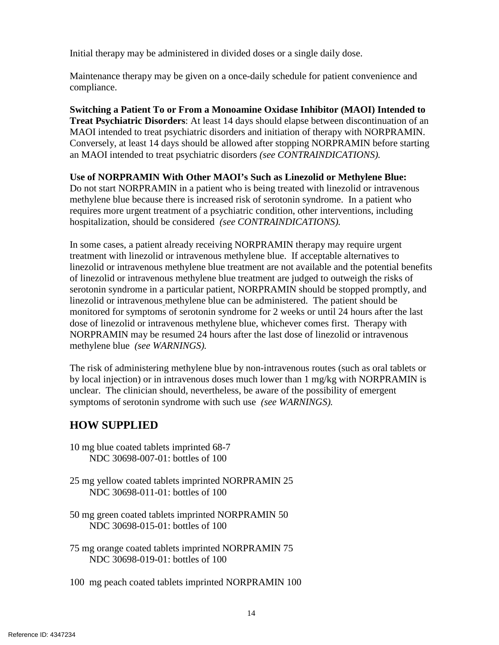Initial therapy may be administered in divided doses or a single daily dose.

Maintenance therapy may be given on a once-daily schedule for patient convenience and compliance.

**Switching a Patient To or From a Monoamine Oxidase Inhibitor (MAOI) Intended to Treat Psychiatric Disorders**: At least 14 days should elapse between discontinuation of an MAOI intended to treat psychiatric disorders and initiation of therapy with NORPRAMIN. Conversely, at least 14 days should be allowed after stopping NORPRAMIN before starting an MAOI intended to treat psychiatric disorders *(see CONTRAINDICATIONS).* 

### **Use of NORPRAMIN With Other MAOI's Such as Linezolid or Methylene Blue:**

Do not start NORPRAMIN in a patient who is being treated with linezolid or intravenous methylene blue because there is increased risk of serotonin syndrome. In a patient who requires more urgent treatment of a psychiatric condition, other interventions, including hospitalization, should be considered *(see CONTRAINDICATIONS).* 

 In some cases, a patient already receiving NORPRAMIN therapy may require urgent treatment with linezolid or intravenous methylene blue. If acceptable alternatives to linezolid or intravenous methylene blue treatment are not available and the potential benefits of linezolid or intravenous methylene blue treatment are judged to outweigh the risks of serotonin syndrome in a particular patient, NORPRAMIN should be stopped promptly, and linezolid or intravenous methylene blue can be administered. The patient should be monitored for symptoms of serotonin syndrome for 2 weeks or until 24 hours after the last dose of linezolid or intravenous methylene blue, whichever comes first. Therapy with NORPRAMIN may be resumed 24 hours after the last dose of linezolid or intravenous methylene blue *(see WARNINGS).* 

 symptoms of serotonin syndrome with such use *(see WARNINGS).*  The risk of administering methylene blue by non-intravenous routes (such as oral tablets or by local injection) or in intravenous doses much lower than 1 mg/kg with NORPRAMIN is unclear. The clinician should, nevertheless, be aware of the possibility of emergent

## **HOW SUPPLIED**

- 10 mg blue coated tablets imprinted 68-7 NDC 30698-007-01: bottles of 100
- 25 mg yellow coated tablets imprinted NORPRAMIN 25 NDC 30698-011-01: bottles of 100
- 50 mg green coated tablets imprinted NORPRAMIN 50 NDC 30698-015-01: bottles of 100
- 75 mg orange coated tablets imprinted NORPRAMIN 75 NDC 30698-019-01: bottles of 100
- 100 mg peach coated tablets imprinted NORPRAMIN 100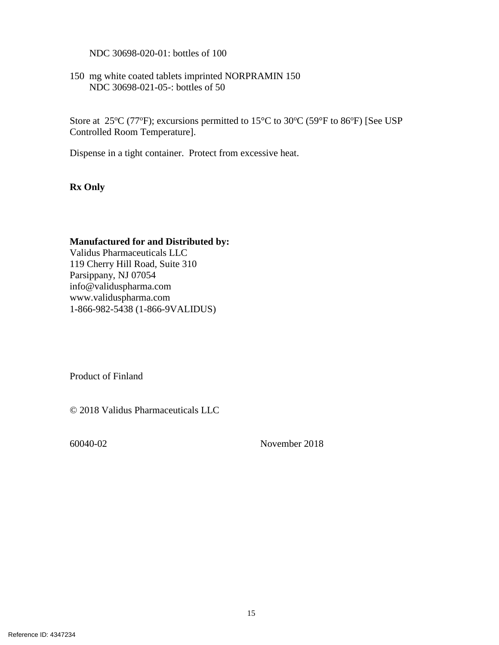NDC 30698-020-01: bottles of 100

150 mg white coated tablets imprinted NORPRAMIN 150 NDC 30698-021-05-: bottles of 50

Store at  $25^{\circ}C$  (77°F); excursions permitted to  $15^{\circ}C$  to  $30^{\circ}C$  (59°F to  $86^{\circ}F$ ) [See USP Controlled Room Temperature].

Dispense in a tight container. Protect from excessive heat.

**Rx Only** 

#### **Manufactured for and Distributed by:**

Validus Pharmaceuticals LLC 119 Cherry Hill Road, Suite 310 Parsippany, NJ 07054 [info@validuspharma.com](mailto:info@validuspharma.com)  [www.validuspharma.com](http://www.validuspharma.com/)  1-866-982-5438 (1-866-9VALIDUS)

Product of Finland

© 2018 Validus Pharmaceuticals LLC

60040-02

November 2018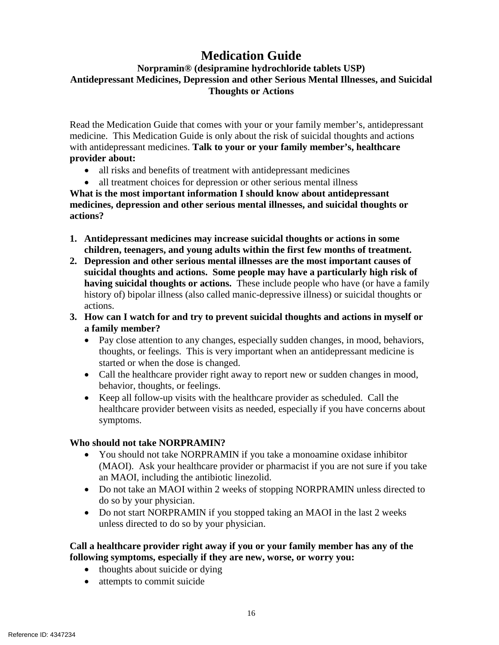# **Medication Guide**

### **Norpramin® (desipramine hydrochloride tablets USP) Antidepressant Medicines, Depression and other Serious Mental Illnesses, and Suicidal Thoughts or Actions**

Read the Medication Guide that comes with your or your family member's, antidepressant medicine. This Medication Guide is only about the risk of suicidal thoughts and actions with antidepressant medicines. **Talk to your or your family member's, healthcare provider about:** 

- all risks and benefits of treatment with antidepressant medicines
- all treatment choices for depression or other serious mental illness

**What is the most important information I should know about antidepressant medicines, depression and other serious mental illnesses, and suicidal thoughts or actions?** 

- **1. Antidepressant medicines may increase suicidal thoughts or actions in some children, teenagers, and young adults within the first few months of treatment.**
- **2. Depression and other serious mental illnesses are the most important causes of suicidal thoughts and actions. Some people may have a particularly high risk of having suicidal thoughts or actions.** These include people who have (or have a family history of) bipolar illness (also called manic-depressive illness) or suicidal thoughts or actions.
- **3. How can I watch for and try to prevent suicidal thoughts and actions in myself or a family member?** 
	- started or when the dose is changed. • Pay close attention to any changes, especially sudden changes, in mood, behaviors, thoughts, or feelings. This is very important when an antidepressant medicine is
	- Call the healthcare provider right away to report new or sudden changes in mood, behavior, thoughts, or feelings.
	- Keep all follow-up visits with the healthcare provider as scheduled. Call the healthcare provider between visits as needed, especially if you have concerns about symptoms.

### **Who should not take NORPRAMIN?**

- You should not take NORPRAMIN if you take a monoamine oxidase inhibitor (MAOI). Ask your healthcare provider or pharmacist if you are not sure if you take an MAOI, including the antibiotic linezolid.
- Do not take an MAOI within 2 weeks of stopping NORPRAMIN unless directed to do so by your physician.
- Do not start NORPRAMIN if you stopped taking an MAOI in the last 2 weeks unless directed to do so by your physician.

#### **Call a healthcare provider right away if you or your family member has any of the following symptoms, especially if they are new, worse, or worry you:**

- thoughts about suicide or dying
- attempts to commit suicide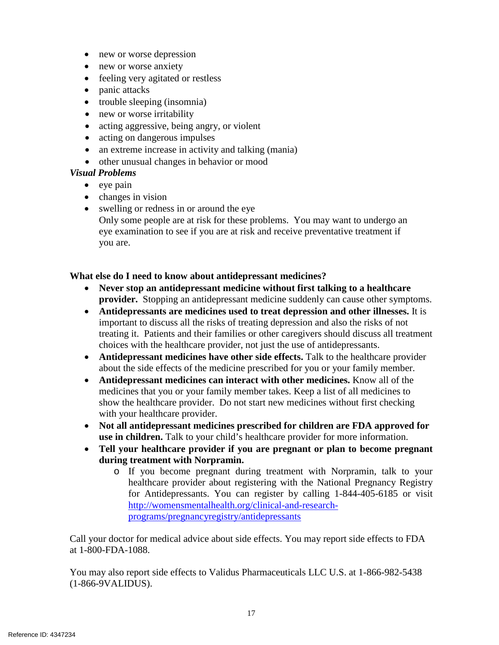- new or worse depression
- new or worse anxiety
- feeling very agitated or restless
- panic attacks
- trouble sleeping (insomnia)
- new or worse irritability
- acting aggressive, being angry, or violent
- acting on dangerous impulses
- an extreme increase in activity and talking (mania)
- other unusual changes in behavior or mood

### *Visual Problems*

- eve pain
- changes in vision
- Only some people are at risk for these problems. You may want to undergo an eye examination to see if you are at risk and receive preventative treatment if • swelling or redness in or around the eye you are.

### **What else do I need to know about antidepressant medicines?**

- **provider.** Stopping an antidepressant medicine suddenly can cause other symptoms. • **Never stop an antidepressant medicine without first talking to a healthcare**
- • **Antidepressants are medicines used to treat depression and other illnesses.** It is important to discuss all the risks of treating depression and also the risks of not treating it. Patients and their families or other caregivers should discuss all treatment choices with the healthcare provider, not just the use of antidepressants.
- Antidepressant medicines have other side effects. Talk to the healthcare provider about the side effects of the medicine prescribed for you or your family member.
- • **Antidepressant medicines can interact with other medicines.** Know all of the medicines that you or your family member takes. Keep a list of all medicines to show the healthcare provider. Do not start new medicines without first checking with your healthcare provider.
- • **Not all antidepressant medicines prescribed for children are FDA approved for use in children.** Talk to your child's healthcare provider for more information.
- • **Tell your healthcare provider if you are pregnant or plan to become pregnant during treatment with Norpramin.** 
	- healthcare provider about registering with the National Pregnancy Registry o If you become pregnant during treatment with Norpramin, talk to your for Antidepressants. You can register by calling 1-844-405-6185 or visit [http://womensmentalhealth.org/clinical-and-research](http://womensmentalhealth.org/clinical-and-research-programs/pregnancyregistry/antidepressants)[programs/pregnancyregistry/antidepressants](http://womensmentalhealth.org/clinical-and-research-programs/pregnancyregistry/antidepressants)

Call your doctor for medical advice about side effects. You may report side effects to FDA at 1-800-FDA-1088.

 You may also report side effects to Validus Pharmaceuticals LLC U.S. at 1-866-982-5438 (1-866-9VALIDUS).